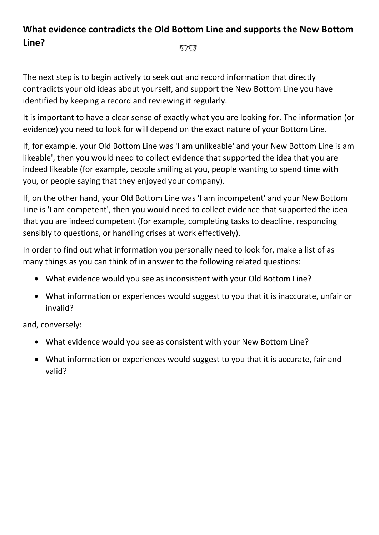## **What evidence contradicts the Old Bottom Line and supports the New Bottom Line?**  $\bigcirc \sigma$

The next step is to begin actively to seek out and record information that directly contradicts your old ideas about yourself, and support the New Bottom Line you have identified by keeping a record and reviewing it regularly.

It is important to have a clear sense of exactly what you are looking for. The information (or evidence) you need to look for will depend on the exact nature of your Bottom Line.

If, for example, your Old Bottom Line was 'I am unlikeable' and your New Bottom Line is am likeable', then you would need to collect evidence that supported the idea that you are indeed likeable (for example, people smiling at you, people wanting to spend time with you, or people saying that they enjoyed your company).

If, on the other hand, your Old Bottom Line was 'I am incompetent' and your New Bottom Line is 'I am competent', then you would need to collect evidence that supported the idea that you are indeed competent (for example, completing tasks to deadline, responding sensibly to questions, or handling crises at work effectively).

In order to find out what information you personally need to look for, make a list of as many things as you can think of in answer to the following related questions:

- What evidence would you see as inconsistent with your Old Bottom Line?
- What information or experiences would suggest to you that it is inaccurate, unfair or invalid?

and, conversely:

- What evidence would you see as consistent with your New Bottom Line?
- What information or experiences would suggest to you that it is accurate, fair and valid?